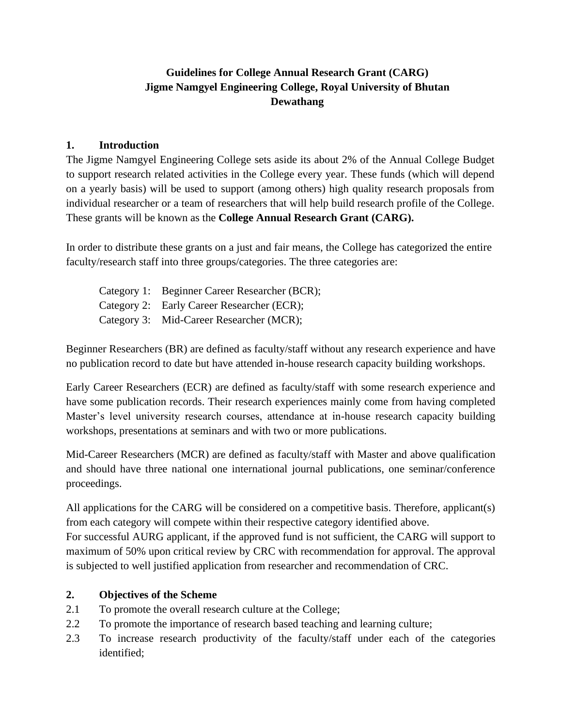# **Guidelines for College Annual Research Grant (CARG) Jigme Namgyel Engineering College, Royal University of Bhutan Dewathang**

#### **1. Introduction**

The Jigme Namgyel Engineering College sets aside its about 2% of the Annual College Budget to support research related activities in the College every year. These funds (which will depend on a yearly basis) will be used to support (among others) high quality research proposals from individual researcher or a team of researchers that will help build research profile of the College. These grants will be known as the **College Annual Research Grant (CARG).**

In order to distribute these grants on a just and fair means, the College has categorized the entire faculty/research staff into three groups/categories. The three categories are:

Category 1: Beginner Career Researcher (BCR); Category 2: Early Career Researcher (ECR); Category 3: Mid-Career Researcher (MCR);

Beginner Researchers (BR) are defined as faculty/staff without any research experience and have no publication record to date but have attended in-house research capacity building workshops.

Early Career Researchers (ECR) are defined as faculty/staff with some research experience and have some publication records. Their research experiences mainly come from having completed Master's level university research courses, attendance at in-house research capacity building workshops, presentations at seminars and with two or more publications.

Mid-Career Researchers (MCR) are defined as faculty/staff with Master and above qualification and should have three national one international journal publications, one seminar/conference proceedings.

All applications for the CARG will be considered on a competitive basis. Therefore, applicant(s) from each category will compete within their respective category identified above.

For successful AURG applicant, if the approved fund is not sufficient, the CARG will support to maximum of 50% upon critical review by CRC with recommendation for approval. The approval is subjected to well justified application from researcher and recommendation of CRC.

#### **2. Objectives of the Scheme**

- 2.1 To promote the overall research culture at the College;
- 2.2 To promote the importance of research based teaching and learning culture;
- 2.3 To increase research productivity of the faculty/staff under each of the categories identified;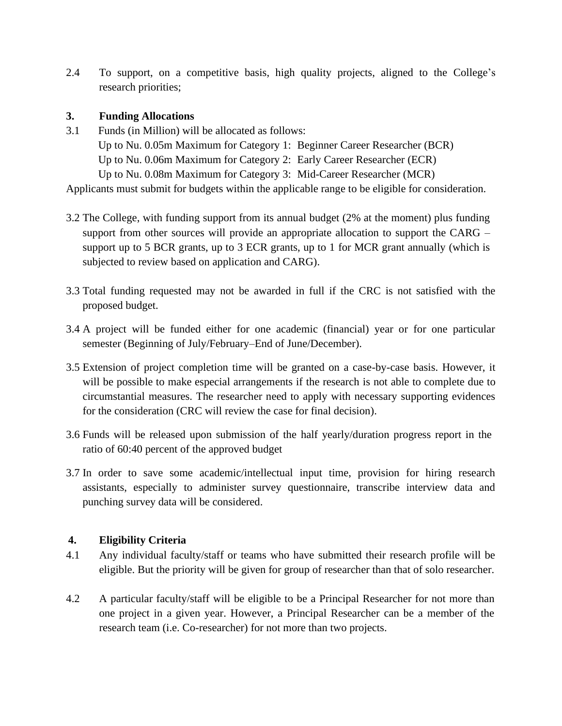2.4 To support, on a competitive basis, high quality projects, aligned to the College's research priorities;

### **3. Funding Allocations**

3.1 Funds (in Million) will be allocated as follows: Up to Nu. 0.05m Maximum for Category 1: Beginner Career Researcher (BCR) Up to Nu. 0.06m Maximum for Category 2: Early Career Researcher (ECR) Up to Nu. 0.08m Maximum for Category 3: Mid-Career Researcher (MCR)

Applicants must submit for budgets within the applicable range to be eligible for consideration.

- 3.2 The College, with funding support from its annual budget (2% at the moment) plus funding support from other sources will provide an appropriate allocation to support the CARG – support up to 5 BCR grants, up to 3 ECR grants, up to 1 for MCR grant annually (which is subjected to review based on application and CARG).
- 3.3 Total funding requested may not be awarded in full if the CRC is not satisfied with the proposed budget.
- 3.4 A project will be funded either for one academic (financial) year or for one particular semester (Beginning of July/February–End of June/December).
- 3.5 Extension of project completion time will be granted on a case-by-case basis. However, it will be possible to make especial arrangements if the research is not able to complete due to circumstantial measures. The researcher need to apply with necessary supporting evidences for the consideration (CRC will review the case for final decision).
- 3.6 Funds will be released upon submission of the half yearly/duration progress report in the ratio of 60:40 percent of the approved budget
- 3.7 In order to save some academic/intellectual input time, provision for hiring research assistants, especially to administer survey questionnaire, transcribe interview data and punching survey data will be considered.

#### **4. Eligibility Criteria**

- 4.1 Any individual faculty/staff or teams who have submitted their research profile will be eligible. But the priority will be given for group of researcher than that of solo researcher.
- 4.2 A particular faculty/staff will be eligible to be a Principal Researcher for not more than one project in a given year. However, a Principal Researcher can be a member of the research team (i.e. Co-researcher) for not more than two projects.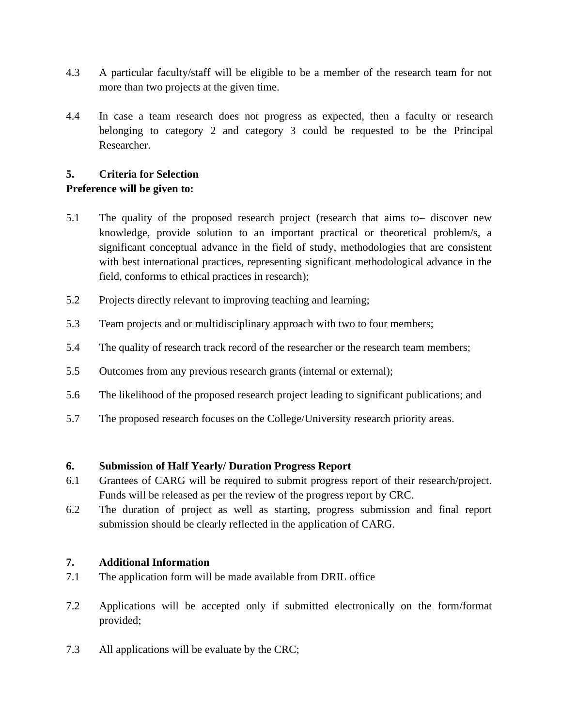- 4.3 A particular faculty/staff will be eligible to be a member of the research team for not more than two projects at the given time.
- 4.4 In case a team research does not progress as expected, then a faculty or research belonging to category 2 and category 3 could be requested to be the Principal Researcher.

## **5. Criteria for Selection**

## **Preference will be given to:**

- 5.1 The quality of the proposed research project (research that aims to– discover new knowledge, provide solution to an important practical or theoretical problem/s, a significant conceptual advance in the field of study, methodologies that are consistent with best international practices, representing significant methodological advance in the field, conforms to ethical practices in research);
- 5.2 Projects directly relevant to improving teaching and learning;
- 5.3 Team projects and or multidisciplinary approach with two to four members;
- 5.4 The quality of research track record of the researcher or the research team members;
- 5.5 Outcomes from any previous research grants (internal or external);
- 5.6 The likelihood of the proposed research project leading to significant publications; and
- 5.7 The proposed research focuses on the College/University research priority areas.

#### **6. Submission of Half Yearly/ Duration Progress Report**

- 6.1 Grantees of CARG will be required to submit progress report of their research/project. Funds will be released as per the review of the progress report by CRC.
- 6.2 The duration of project as well as starting, progress submission and final report submission should be clearly reflected in the application of CARG.

#### **7. Additional Information**

- 7.1 The application form will be made available from DRIL office
- 7.2 Applications will be accepted only if submitted electronically on the form/format provided;
- 7.3 All applications will be evaluate by the CRC;